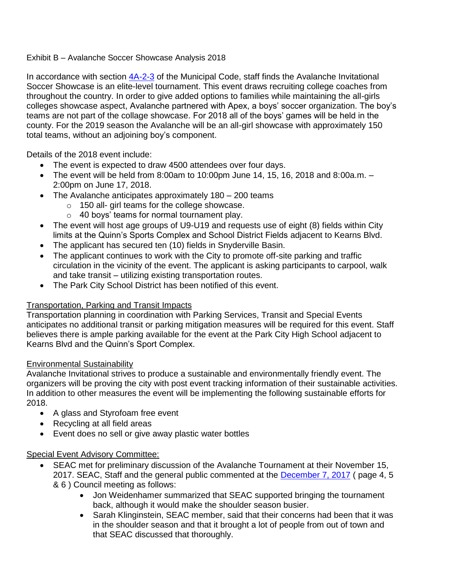### Exhibit B – Avalanche Soccer Showcase Analysis 2018

In accordance with section  $4A-2-3$  of the Municipal Code, staff finds the Avalanche Invitational Soccer Showcase is an elite-level tournament. This event draws recruiting college coaches from throughout the country. In order to give added options to families while maintaining the all-girls colleges showcase aspect, Avalanche partnered with Apex, a boys' soccer organization. The boy's teams are not part of the collage showcase. For 2018 all of the boys' games will be held in the county. For the 2019 season the Avalanche will be an all-girl showcase with approximately 150 total teams, without an adjoining boy's component.

Details of the 2018 event include:

- The event is expected to draw 4500 attendees over four days.
- The event will be held from 8:00am to 10:00pm June 14, 15, 16, 2018 and 8:00a.m.  $-$ 2:00pm on June 17, 2018.
- The Avalanche anticipates approximately 180 200 teams
	- o 150 all- girl teams for the college showcase.
	- o 40 boys' teams for normal tournament play.
- The event will host age groups of U9-U19 and requests use of eight (8) fields within City limits at the Quinn's Sports Complex and School District Fields adjacent to Kearns Blvd.
- The applicant has secured ten (10) fields in Snyderville Basin.
- The applicant continues to work with the City to promote off-site parking and traffic circulation in the vicinity of the event. The applicant is asking participants to carpool, walk and take transit – utilizing existing transportation routes.
- The Park City School District has been notified of this event.

# Transportation, Parking and Transit Impacts

Transportation planning in coordination with Parking Services, Transit and Special Events anticipates no additional transit or parking mitigation measures will be required for this event. Staff believes there is ample parking available for the event at the Park City High School adjacent to Kearns Blvd and the Quinn's Sport Complex.

# Environmental Sustainability

Avalanche Invitational strives to produce a sustainable and environmentally friendly event. The organizers will be proving the city with post event tracking information of their sustainable activities. In addition to other measures the event will be implementing the following sustainable efforts for 2018.

- A glass and Styrofoam free event
- Recycling at all field areas
- Event does no sell or give away plastic water bottles

# Special Event Advisory Committee:

- SEAC met for preliminary discussion of the Avalanche Tournament at their November 15, 2017. SEAC, Staff and the general public commented at the [December 7, 2017](http://parkcityut.iqm2.com/Citizens/FileOpen.aspx?Type=12&ID=1961&Inline=True) (page 4, 5 & 6 ) Council meeting as follows:
	- Jon Weidenhamer summarized that SEAC supported bringing the tournament back, although it would make the shoulder season busier.
	- Sarah Klinginstein, SEAC member, said that their concerns had been that it was in the shoulder season and that it brought a lot of people from out of town and that SEAC discussed that thoroughly.